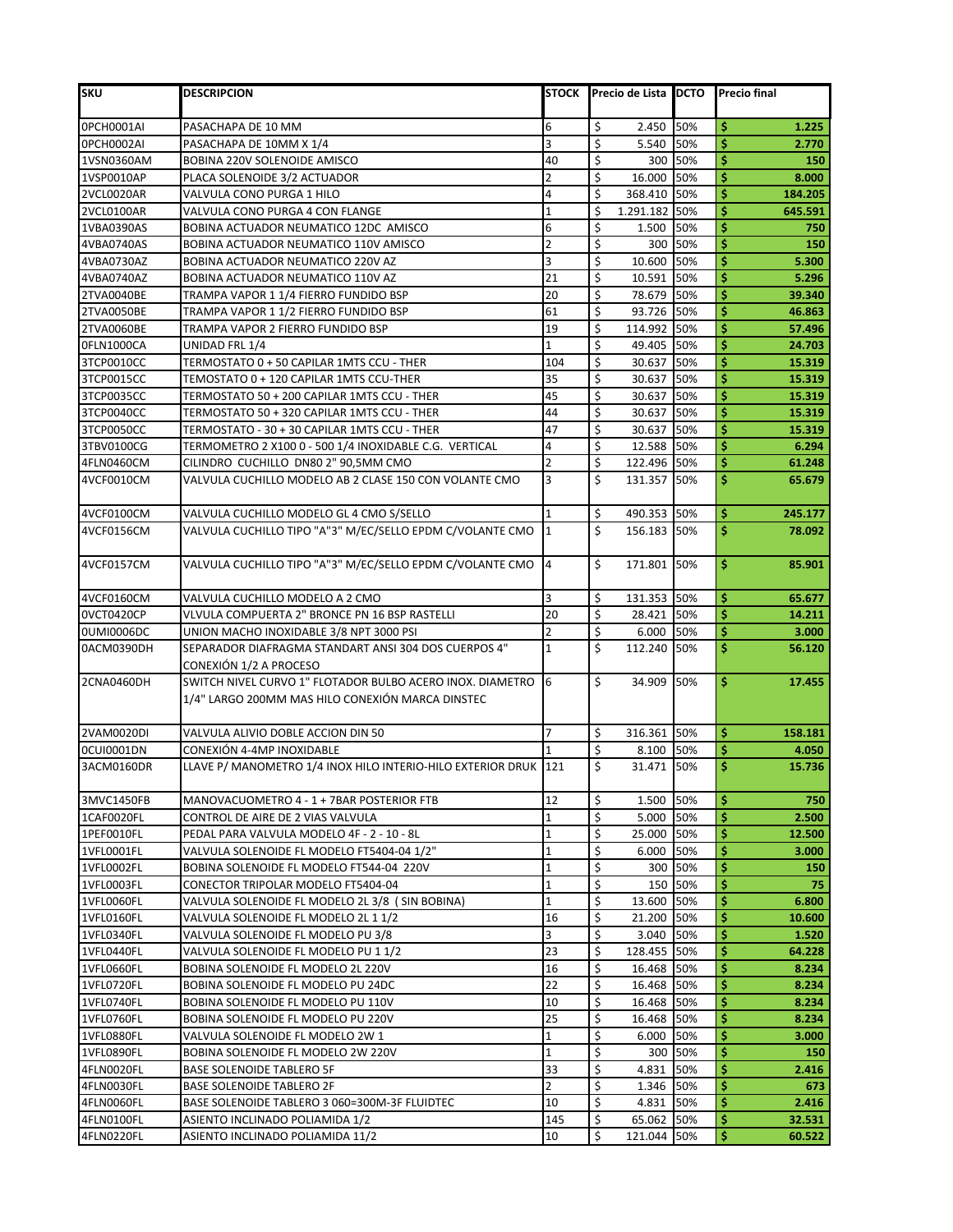| <b>SKU</b>               | <b>DESCRIPCION</b>                                                                                            | <b>STOCK</b>         | Precio de Lista IDCTO |            | <b>Precio final</b> |
|--------------------------|---------------------------------------------------------------------------------------------------------------|----------------------|-----------------------|------------|---------------------|
| 0PCH0001AI               | PASACHAPA DE 10 MM                                                                                            | 6                    | \$<br>2.450           | 50%        | \$<br>1.225         |
| 0PCH0002AI               | PASACHAPA DE 10MM X 1/4                                                                                       | lЗ                   | \$<br>5.540           | 50%        | \$<br>2.770         |
| 1VSN0360AM               | <b>BOBINA 220V SOLENOIDE AMISCO</b>                                                                           | 40                   | \$<br>300             | 50%        | \$<br>150           |
| 1VSP0010AP               | PLACA SOLENOIDE 3/2 ACTUADOR                                                                                  | $\overline{2}$       | \$<br>16.000          | 50%        | \$<br>8.000         |
| 2VCL0020AR               | VALVULA CONO PURGA 1 HILO                                                                                     | 4                    | \$<br>368.410         | 50%        | \$<br>184.205       |
| 2VCL0100AR               | VALVULA CONO PURGA 4 CON FLANGE                                                                               | $\overline{1}$       | Ś<br>1.291.182 50%    |            | \$<br>645.591       |
| 1VBA0390AS               | BOBINA ACTUADOR NEUMATICO 12DC AMISCO                                                                         | 6                    | \$<br>1.500           | 50%        | \$<br>750           |
| 4VBA0740AS               | BOBINA ACTUADOR NEUMATICO 110V AMISCO                                                                         | $\overline{2}$       | \$<br>300 l           | 50%        | \$<br>150           |
| 4VBA0730AZ               | <b>BOBINA ACTUADOR NEUMATICO 220V AZ</b>                                                                      | 3                    | \$<br>10.600          | 50%        | \$<br>5.300         |
| 4VBA0740AZ               | BOBINA ACTUADOR NEUMATICO 110V AZ                                                                             | 21                   | \$<br>10.591 50%      |            | \$<br>5.296         |
| 2TVA0040BE               | TRAMPA VAPOR 1 1/4 FIERRO FUNDIDO BSP                                                                         | 20                   | \$<br>78.679 50%      |            | \$<br>39.340        |
| 2TVA0050BE               | TRAMPA VAPOR 1 1/2 FIERRO FUNDIDO BSP                                                                         | 61                   | \$<br>93.726          | 50%        | \$<br>46.863        |
| 2TVA0060BE               | TRAMPA VAPOR 2 FIERRO FUNDIDO BSP                                                                             | 19                   | \$<br>114.992         | 50%        | \$<br>57.496        |
| OFLN1000CA               | UNIDAD FRL 1/4                                                                                                | $\mathbf{1}$         | \$<br>49.405 50%      |            | \$<br>24.703        |
| 3TCP0010CC               | TERMOSTATO 0 + 50 CAPILAR 1MTS CCU - THER                                                                     | 104                  | \$<br>30.637          | 50%        | \$<br>15.319        |
| 3TCP0015CC               | TEMOSTATO 0 + 120 CAPILAR 1MTS CCU-THER                                                                       | 35                   | \$<br>30.637 50%      |            | \$<br>15.319        |
| 3TCP0035CC               | TERMOSTATO 50 + 200 CAPILAR 1MTS CCU - THER                                                                   | 45                   | \$<br>30.637          | 50%        | \$<br>15.319        |
| 3TCP0040CC               | TERMOSTATO 50 + 320 CAPILAR 1MTS CCU - THER                                                                   | 44                   | \$<br>30.637          | 50%        | \$<br>15.319        |
| 3TCP0050CC               | TERMOSTATO - 30 + 30 CAPILAR 1MTS CCU - THER                                                                  | 47                   | \$<br>30.637          | 50%        | \$<br>15.319        |
| 3TBV0100CG               | TERMOMETRO 2 X100 0 - 500 1/4 INOXIDABLE C.G. VERTICAL                                                        | 4                    | \$<br>12.588          | 50%        | \$<br>6.294         |
| 4FLN0460CM               | CILINDRO CUCHILLO DN80 2" 90,5MM CMO                                                                          | $\overline{2}$       | \$<br>122.496         | 50%        | \$<br>61.248        |
| 4VCF0010CM               | VALVULA CUCHILLO MODELO AB 2 CLASE 150 CON VOLANTE CMO                                                        | 3                    | \$<br>131.357 50%     |            | \$<br>65.679        |
| 4VCF0100CM               | VALVULA CUCHILLO MODELO GL 4 CMO S/SELLO                                                                      | $\mathbf{1}$         | \$<br>490.353 50%     |            | \$<br>245.177       |
| 4VCF0156CM               | VALVULA CUCHILLO TIPO "A"3" M/EC/SELLO EPDM C/VOLANTE CMO                                                     | $\mathbf{1}$         | \$<br>156.183         | 50%        | \$<br>78.092        |
| 4VCF0157CM               | VALVULA CUCHILLO TIPO "A"3" M/EC/SELLO EPDM C/VOLANTE CMO                                                     | $\overline{4}$       | \$<br>171.801 50%     |            | \$<br>85.901        |
| 4VCF0160CM               | VALVULA CUCHILLO MODELO A 2 CMO                                                                               | 3                    | \$<br>131.353 50%     |            | \$<br>65.677        |
| 0VCT0420CP               | VLVULA COMPUERTA 2" BRONCE PN 16 BSP RASTELLI                                                                 | 20                   | \$<br>28.421          | 50%        | \$<br>14.211        |
| 0UMI0006DC               | UNION MACHO INOXIDABLE 3/8 NPT 3000 PSI                                                                       | $\overline{2}$       | \$<br>6.000           | 50%        | \$<br>3.000         |
| 0ACM0390DH               | SEPARADOR DIAFRAGMA STANDART ANSI 304 DOS CUERPOS 4"                                                          | $\mathbf{1}$         | \$<br>112.240         | 50%        | \$<br>56.120        |
|                          | CONEXIÓN 1/2 A PROCESO                                                                                        |                      |                       |            |                     |
| 2CNA0460DH               | SWITCH NIVEL CURVO 1" FLOTADOR BULBO ACERO INOX. DIAMETRO<br>1/4" LARGO 200MM MAS HILO CONEXIÓN MARCA DINSTEC | 6                    | Ś.<br>34.909 50%      |            | \$<br>17.455        |
|                          |                                                                                                               |                      |                       |            |                     |
| 2VAM0020DI               | VALVULA ALIVIO DOBLE ACCION DIN 50                                                                            | 7                    | \$<br>316.361 50%     |            | \$<br>158.181       |
| <b>0CUI0001DN</b>        | CONEXIÓN 4-4MP INOXIDABLE                                                                                     |                      | \$<br>8.100           | 50%        | \$<br>4.050         |
| 3ACM0160DR               | LLAVE P/ MANOMETRO 1/4 INOX HILO INTERIO-HILO EXTERIOR DRUK 121                                               |                      | \$<br>31.471 50%      |            | \$<br>15.736        |
| 3MVC1450FB               | MANOVACUOMETRO 4 - 1 + 7BAR POSTERIOR FTB                                                                     | 12                   | \$<br>1.500 50%       |            | Ś<br>750            |
| 1CAF0020FL               | CONTROL DE AIRE DE 2 VIAS VALVULA                                                                             | $\mathbf{1}$         | \$<br>5.000           | 50%        | \$<br>2.500         |
| 1PEF0010FL               | PEDAL PARA VALVULA MODELO 4F - 2 - 10 - 8L                                                                    | $\mathbf{1}$         | \$<br>25.000          | 50%        | \$<br>12.500        |
| 1VFL0001FL               | VALVULA SOLENOIDE FL MODELO FT5404-04 1/2"                                                                    | $\mathbf{1}$         | \$<br>6.000           | 50%        | \$<br>3.000         |
| 1VFL0002FL               | BOBINA SOLENOIDE FL MODELO FT544-04 220V                                                                      | $\overline{1}$       | \$<br>300             | 50%        | \$<br>150           |
| 1VFL0003FL               | CONECTOR TRIPOLAR MODELO FT5404-04                                                                            | $\mathbf{1}$         | \$<br>150             | 50%        | \$<br>75            |
| 1VFL0060FL               | VALVULA SOLENOIDE FL MODELO 2L 3/8 ( SIN BOBINA)                                                              | $\mathbf{1}$         | \$<br>13.600          | 50%        | \$<br>6.800         |
| 1VFL0160FL               | VALVULA SOLENOIDE FL MODELO 2L 1 1/2                                                                          | 16                   | \$<br>21.200          | 50%        | \$<br>10.600        |
| 1VFL0340FL               | VALVULA SOLENOIDE FL MODELO PU 3/8                                                                            | 3                    | \$<br>3.040           | 50%        | \$<br>1.520         |
| 1VFL0440FL               | VALVULA SOLENOIDE FL MODELO PU 1 1/2                                                                          | 23                   | \$<br>128.455         | 50%        | \$<br>64.228        |
| 1VFL0660FL               | BOBINA SOLENOIDE FL MODELO 2L 220V                                                                            | 16                   | \$<br>16.468          | 50%        | \$<br>8.234         |
| 1VFL0720FL               | BOBINA SOLENOIDE FL MODELO PU 24DC                                                                            | 22                   | \$<br>16.468          | 50%        | \$<br>8.234         |
| 1VFL0740FL               | BOBINA SOLENOIDE FL MODELO PU 110V                                                                            | 10                   | \$<br>16.468          | 50%        | \$<br>8.234         |
| 1VFL0760FL               | BOBINA SOLENOIDE FL MODELO PU 220V                                                                            | 25                   | \$<br>16.468          | 50%        | \$<br>8.234         |
| 1VFL0880FL               | VALVULA SOLENOIDE FL MODELO 2W 1                                                                              | $\mathbf{1}$         | \$<br>6.000           | 50%        | \$<br>3.000         |
| 1VFL0890FL               | BOBINA SOLENOIDE FL MODELO 2W 220V                                                                            | $\mathbf{1}$         | \$<br>300             | 50%        | \$<br>150           |
| 4FLN0020FL               | <b>BASE SOLENOIDE TABLERO 5F</b>                                                                              | 33<br>$\overline{2}$ | \$<br>4.831           | 50%        | \$<br>2.416         |
| 4FLN0030FL               | <b>BASE SOLENOIDE TABLERO 2F</b>                                                                              |                      | \$<br>1.346<br>\$     | 50%        | \$<br>673<br>\$     |
| 4FLN0060FL               | BASE SOLENOIDE TABLERO 3 060=300M-3F FLUIDTEC                                                                 | 10<br>145            | 4.831<br>\$           | 50%<br>50% | 2.416<br>\$         |
| 4FLN0100FL<br>4FLN0220FL | ASIENTO INCLINADO POLIAMIDA 1/2                                                                               | 10                   | 65.062<br>\$          | 50%        | 32.531<br>\$        |
|                          | ASIENTO INCLINADO POLIAMIDA 11/2                                                                              |                      | 121.044               |            | 60.522              |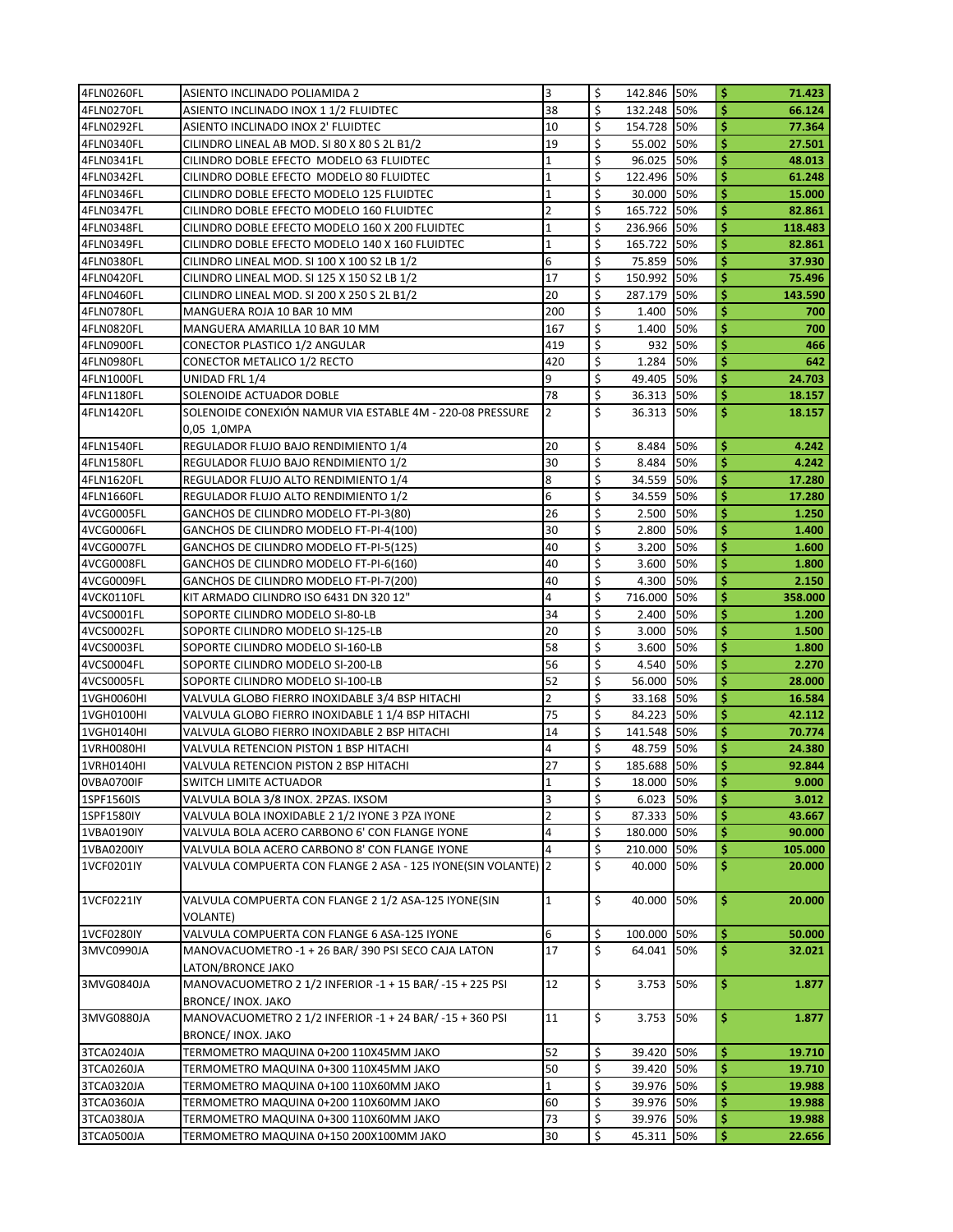| 4FLN0260FL               | ASIENTO INCLINADO POLIAMIDA 2                                                                                   | 3              | \$      | 142.846 50%       |            | \$       | 71.423            |
|--------------------------|-----------------------------------------------------------------------------------------------------------------|----------------|---------|-------------------|------------|----------|-------------------|
| 4FLN0270FL               | ASIENTO INCLINADO INOX 1 1/2 FLUIDTEC                                                                           | 38             | Ś       | 132.248 50%       |            | Ś        | 66.124            |
| 4FLN0292FL               | ASIENTO INCLINADO INOX 2' FLUIDTEC                                                                              | 10             | \$      | 154.728           | 50%        | \$       | 77.364            |
| 4FLN0340FL               | CILINDRO LINEAL AB MOD. SI 80 X 80 S 2L B1/2                                                                    | 19             | \$      | 55.002            | 50%        | \$       | 27.501            |
| 4FLN0341FL               | CILINDRO DOBLE EFECTO MODELO 63 FLUIDTEC                                                                        | 1              | \$      | 96.025            | 50%        | \$       | 48.013            |
| 4FLN0342FL               | CILINDRO DOBLE EFECTO MODELO 80 FLUIDTEC                                                                        | $\mathbf 1$    | \$      | 122.496           | 50%        | \$       | 61.248            |
| 4FLN0346FL               | CILINDRO DOBLE EFECTO MODELO 125 FLUIDTEC                                                                       | 1              | Ś       | 30.000            | 50%        | \$       | 15.000            |
| 4FLN0347FL               | CILINDRO DOBLE EFECTO MODELO 160 FLUIDTEC                                                                       | $\overline{2}$ | \$      | 165.722           | 50%        | \$       | 82.861            |
| 4FLN0348FL               | CILINDRO DOBLE EFECTO MODELO 160 X 200 FLUIDTEC                                                                 | $\mathbf{1}$   | \$      | 236.966           | 50%        | \$       | 118.483           |
| 4FLN0349FL               | CILINDRO DOBLE EFECTO MODELO 140 X 160 FLUIDTEC                                                                 | 1              | \$      | 165.722           | 50%        | \$       | 82.861            |
| 4FLN0380FL               | CILINDRO LINEAL MOD. SI 100 X 100 S2 LB 1/2                                                                     | 6              | \$      | 75.859            | 50%        | \$       | 37.930            |
| 4FLN0420FL               | CILINDRO LINEAL MOD. SI 125 X 150 S2 LB 1/2                                                                     | 17             | Ś       | 150.992           | 50%        | \$       | 75.496            |
| 4FLN0460FL               | CILINDRO LINEAL MOD. SI 200 X 250 S 2L B1/2                                                                     | 20             | Ś       | 287.179           | 50%        | \$       | 143.590           |
| 4FLN0780FL               | MANGUERA ROJA 10 BAR 10 MM                                                                                      | 200            | \$      | 1.400             | 50%        | \$       | 700               |
| 4FLN0820FL               | MANGUERA AMARILLA 10 BAR 10 MM                                                                                  | 167            | \$      | 1.400             | 50%        | \$       | 700               |
| 4FLN0900FL               | CONECTOR PLASTICO 1/2 ANGULAR                                                                                   | 419            | \$      | 932               | 50%        | \$       | 466               |
| 4FLN0980FL               | CONECTOR METALICO 1/2 RECTO                                                                                     | 420            | Ś.      | 1.284             | 50%        | \$       | 642               |
| 4FLN1000FL               | UNIDAD FRL 1/4                                                                                                  | 9              | \$      | 49.405            | 50%        | \$       | 24.703            |
| 4FLN1180FL               | SOLENOIDE ACTUADOR DOBLE                                                                                        | 78             | \$      | 36.313            | 50%        | \$       | 18.157            |
| 4FLN1420FL               | SOLENOIDE CONEXIÓN NAMUR VIA ESTABLE 4M - 220-08 PRESSURE                                                       | 2              | \$      | 36.313 50%        |            | \$       | 18.157            |
|                          | 0,05 1,0MPA                                                                                                     |                |         |                   |            |          |                   |
| 4FLN1540FL               | REGULADOR FLUJO BAJO RENDIMIENTO 1/4                                                                            | 20             | Ś       | 8.484             | 50%        | \$       | 4.242             |
| 4FLN1580FL               | REGULADOR FLUJO BAJO RENDIMIENTO 1/2                                                                            | 30             | Ś       | 8.484             | 50%        | \$       | 4.242             |
| 4FLN1620FL               | REGULADOR FLUJO ALTO RENDIMIENTO 1/4                                                                            | 8              | \$      | 34.559            | 50%        | \$       | 17.280            |
| 4FLN1660FL               | REGULADOR FLUJO ALTO RENDIMIENTO 1/2                                                                            | 6              | \$      | 34.559            | 50%        | \$       | 17.280            |
| 4VCG0005FL               | GANCHOS DE CILINDRO MODELO FT-PI-3(80)                                                                          | 26             | \$      | 2.500             | 50%        | \$       | 1.250             |
| 4VCG0006FL               | GANCHOS DE CILINDRO MODELO FT-PI-4(100)                                                                         | 30             | Ś       | 2.800             | 50%        | \$       | 1.400             |
| 4VCG0007FL               | GANCHOS DE CILINDRO MODELO FT-PI-5(125)                                                                         | 40             | Ś       | 3.200             | 50%        | \$       | 1.600             |
| 4VCG0008FL               | GANCHOS DE CILINDRO MODELO FT-PI-6(160)                                                                         | 40             | \$      | 3.600             | 50%        | \$       | 1.800             |
| 4VCG0009FL               | GANCHOS DE CILINDRO MODELO FT-PI-7(200)                                                                         | 40             | \$      | 4.300             | 50%        | \$       | 2.150             |
| 4VCK0110FL               | KIT ARMADO CILINDRO ISO 6431 DN 320 12"                                                                         | 4              | \$      | 716.000           | 50%        | \$       | 358.000           |
| 4VCS0001FL               | SOPORTE CILINDRO MODELO SI-80-LB                                                                                | 34             | Ś       | 2.400             | 50%        | \$       | 1.200             |
| 4VCS0002FL               | SOPORTE CILINDRO MODELO SI-125-LB                                                                               | 20             | \$      | 3.000             | 50%        | \$       | 1.500             |
| 4VCS0003FL               | SOPORTE CILINDRO MODELO SI-160-LB                                                                               | 58             | \$      | 3.600             | 50%        | \$       | 1.800             |
| 4VCS0004FL               | SOPORTE CILINDRO MODELO SI-200-LB                                                                               | 56             | \$      | 4.540             | 50%        | \$       | 2.270             |
| 4VCS0005FL               | SOPORTE CILINDRO MODELO SI-100-LB                                                                               | 52             | Ś       | 56.000            | 50%        | \$       | 28.000            |
| 1VGH0060HI               | VALVULA GLOBO FIERRO INOXIDABLE 3/4 BSP HITACHI                                                                 | 2              | Ś       | 33.168            | 50%        | \$       | 16.584            |
| 1VGH0100HI               | VALVULA GLOBO FIERRO INOXIDABLE 1 1/4 BSP HITACHI                                                               | 75             | Ś       | 84.223            | 50%        | \$       | 42.112            |
| 1VGH0140HI               | VALVULA GLOBO FIERRO INOXIDABLE 2 BSP HITACHI                                                                   | 14             | \$      | 141.548           | 50%        | \$       | 70.774            |
| 1VRH0080HI               | VALVULA RETENCION PISTON 1 BSP HITACHI                                                                          | 4              | \$      | 48.759            | 50%        | \$       | 24.380            |
| 1VRH0140HI               | VALVULA RETENCION PISTON 2 BSP HITACHI                                                                          | 27             | \$      | 185.688           | 50%        | \$       | 92.844            |
| 0VBA0700IF               | SWITCH LIMITE ACTUADOR                                                                                          |                | \$      | 18.000 50%        |            | k        | 9.000             |
| 1SPF1560IS               | VALVULA BOLA 3/8 INOX. 2PZAS. IXSOM                                                                             | 3              | \$      | 6.023             | 50%        | \$       | 3.012             |
| 1SPF1580IY               | VALVULA BOLA INOXIDABLE 2 1/2 IYONE 3 PZA IYONE                                                                 | $\overline{2}$ | \$      | 87.333            | 50%        | \$       | 43.667            |
| 1VBA0190IY               | VALVULA BOLA ACERO CARBONO 6' CON FLANGE IYONE                                                                  | 4              | \$      | 180.000           | 50%        | \$       | 90.000            |
|                          |                                                                                                                 | 4              | \$      |                   |            | \$       |                   |
| 1VBA0200IY<br>1VCF0201IY | VALVULA BOLA ACERO CARBONO 8' CON FLANGE IYONE<br>VALVULA COMPUERTA CON FLANGE 2 ASA - 125 IYONE(SIN VOLANTE) 2 |                | Ś.      | 210.000<br>40.000 | 50%<br>50% | \$       | 105.000<br>20.000 |
|                          |                                                                                                                 |                |         |                   |            |          |                   |
|                          | VALVULA COMPUERTA CON FLANGE 2 1/2 ASA-125 IYONE(SIN                                                            | $\mathbf 1$    | \$      | 40.000            | 50%        |          | 20.000            |
| 1VCF0221IY               |                                                                                                                 |                |         |                   |            | \$       |                   |
|                          | VOLANTE)                                                                                                        | 6              |         |                   |            |          |                   |
| 1VCF0280IY               | VALVULA COMPUERTA CON FLANGE 6 ASA-125 IYONE                                                                    | 17             | \$<br>Ś | 100.000           | 50%        | \$<br>\$ | 50.000            |
| 3MVC0990JA               | MANOVACUOMETRO -1 + 26 BAR/390 PSI SECO CAJA LATON                                                              |                |         | 64.041 50%        |            |          | 32.021            |
|                          | LATON/BRONCE JAKO                                                                                               |                |         |                   |            |          |                   |
| 3MVG0840JA               | MANOVACUOMETRO 2 1/2 INFERIOR -1 + 15 BAR/ -15 + 225 PSI                                                        | 12             | \$      | 3.753             | 50%        | \$       | 1.877             |
|                          | BRONCE/ INOX. JAKO                                                                                              |                |         |                   |            |          |                   |
| 3MVG0880JA               | MANOVACUOMETRO 2 1/2 INFERIOR -1 + 24 BAR/ -15 + 360 PSI                                                        | 11             | \$      | 3.753 50%         |            | \$       | 1.877             |
|                          | <b>BRONCE/ INOX. JAKO</b>                                                                                       |                |         |                   |            |          |                   |
| 3TCA0240JA               | TERMOMETRO MAQUINA 0+200 110X45MM JAKO                                                                          | 52             | \$      | 39.420            | 50%        | \$       | 19.710            |
| 3TCA0260JA               | TERMOMETRO MAQUINA 0+300 110X45MM JAKO                                                                          | 50             | \$      | 39.420            | 50%        | \$       | 19.710            |
| 3TCA0320JA               | TERMOMETRO MAQUINA 0+100 110X60MM JAKO                                                                          | 1              | \$      | 39.976            | 50%        | \$       | 19.988            |
| 3TCA0360JA               | TERMOMETRO MAQUINA 0+200 110X60MM JAKO                                                                          | 60             | \$      | 39.976            | 50%        | \$       | 19.988            |
| 3TCA0380JA               | TERMOMETRO MAQUINA 0+300 110X60MM JAKO                                                                          | 73             | \$      | 39.976            | 50%        | \$       | 19.988            |
| 3TCA0500JA               | TERMOMETRO MAQUINA 0+150 200X100MM JAKO                                                                         | 30             | \$      | 45.311 50%        |            | \$       | 22.656            |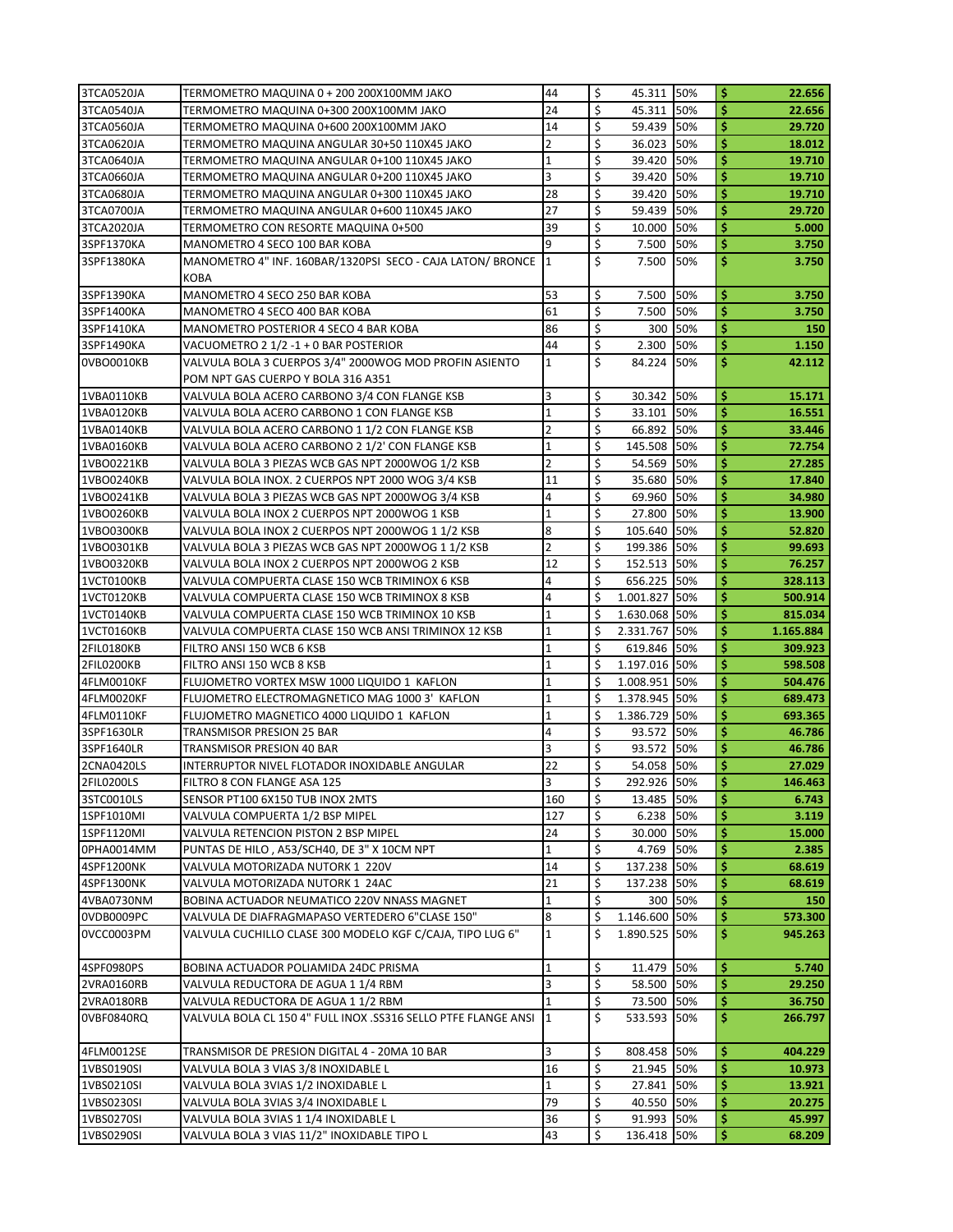| 3TCA0520JA | TERMOMETRO MAQUINA 0 + 200 200X100MM JAKO                      | 44                      | \$<br>45.311 50%    |            | \$<br>22.656    |
|------------|----------------------------------------------------------------|-------------------------|---------------------|------------|-----------------|
| 3TCA0540JA | TERMOMETRO MAQUINA 0+300 200X100MM JAKO                        | 24                      | \$<br>45.311 50%    |            | \$<br>22.656    |
| 3TCA0560JA | TERMOMETRO MAQUINA 0+600 200X100MM JAKO                        | 14                      | \$<br>59.439 50%    |            | \$<br>29.720    |
| 3TCA0620JA | TERMOMETRO MAQUINA ANGULAR 30+50 110X45 JAKO                   | $\overline{2}$          | \$<br>36.023 50%    |            | \$<br>18.012    |
| 3TCA0640JA | TERMOMETRO MAQUINA ANGULAR 0+100 110X45 JAKO                   | $\mathbf{1}$            | \$<br>39.420        | 50%        | \$<br>19.710    |
| 3TCA0660JA | TERMOMETRO MAQUINA ANGULAR 0+200 110X45 JAKO                   | 3                       | \$<br>39.420 50%    |            | \$<br>19.710    |
| 3TCA0680JA | TERMOMETRO MAQUINA ANGULAR 0+300 110X45 JAKO                   | 28                      | \$<br>39.420        | 50%        | \$<br>19.710    |
| 3TCA0700JA | TERMOMETRO MAQUINA ANGULAR 0+600 110X45 JAKO                   | 27                      | \$<br>59.439        | 50%        | \$<br>29.720    |
| 3TCA2020JA | TERMOMETRO CON RESORTE MAQUINA 0+500                           | 39                      | \$<br>10.000        | 50%        | \$<br>5.000     |
| 3SPF1370KA | MANOMETRO 4 SECO 100 BAR KOBA                                  | 9                       | \$<br>7.500         | 50%        | \$<br>3.750     |
| 3SPF1380KA | MANOMETRO 4" INF. 160BAR/1320PSI SECO - CAJA LATON/ BRONCE 1   |                         | \$<br>7.500         | 50%        | \$<br>3.750     |
|            | <b>KOBA</b>                                                    |                         |                     |            |                 |
| 3SPF1390KA | MANOMETRO 4 SECO 250 BAR KOBA                                  | 53                      | \$<br>7.500         | 50%        | \$<br>3.750     |
| 3SPF1400KA | MANOMETRO 4 SECO 400 BAR KOBA                                  | 61                      | \$<br>7.500         | 50%        | \$<br>3.750     |
| 3SPF1410KA | MANOMETRO POSTERIOR 4 SECO 4 BAR KOBA                          | 86                      | \$<br>300 l         | 50%        | \$<br>150       |
| 3SPF1490KA | VACUOMETRO 2 1/2 -1 + 0 BAR POSTERIOR                          | 44                      | \$<br>2.300         | 50%        | \$<br>1.150     |
| 0VBO0010KB | VALVULA BOLA 3 CUERPOS 3/4" 2000WOG MOD PROFIN ASIENTO         | $\mathbf{1}$            | \$<br>84.224 50%    |            | \$<br>42.112    |
|            | POM NPT GAS CUERPO Y BOLA 316 A351                             |                         |                     |            |                 |
| 1VBA0110KB | VALVULA BOLA ACERO CARBONO 3/4 CON FLANGE KSB                  | 3                       | \$<br>30.342        | <b>50%</b> | \$<br>15.171    |
| 1VBA0120KB | VALVULA BOLA ACERO CARBONO 1 CON FLANGE KSB                    | $\mathbf{1}$            | \$<br>33.101 50%    |            | \$<br>16.551    |
| 1VBA0140KB | VALVULA BOLA ACERO CARBONO 1 1/2 CON FLANGE KSB                | $\overline{2}$          | \$<br>66.892 50%    |            | \$<br>33.446    |
| 1VBA0160KB | VALVULA BOLA ACERO CARBONO 2 1/2' CON FLANGE KSB               | $\mathbf{1}$            | \$<br>145.508 50%   |            | \$<br>72.754    |
| 1VBO0221KB | VALVULA BOLA 3 PIEZAS WCB GAS NPT 2000WOG 1/2 KSB              | $\overline{2}$          | \$<br>54.569 50%    |            | \$<br>27.285    |
| 1VBO0240KB | VALVULA BOLA INOX. 2 CUERPOS NPT 2000 WOG 3/4 KSB              | 11                      | \$<br>35.680        | 50%        | \$<br>17.840    |
| 1VBO0241KB | VALVULA BOLA 3 PIEZAS WCB GAS NPT 2000WOG 3/4 KSB              | 4                       | \$<br>69.960        | 50%        | \$<br>34.980    |
| 1VBO0260KB | VALVULA BOLA INOX 2 CUERPOS NPT 2000WOG 1 KSB                  | $\mathbf{1}$            | \$<br>27.800        | 50%        | \$<br>13.900    |
| 1VBO0300KB | VALVULA BOLA INOX 2 CUERPOS NPT 2000WOG 1 1/2 KSB              | 8                       | \$<br>105.640 50%   |            | \$<br>52.820    |
| 1VBO0301KB | VALVULA BOLA 3 PIEZAS WCB GAS NPT 2000WOG 1 1/2 KSB            | $\overline{2}$          | \$<br>199.386 50%   |            | \$<br>99.693    |
| 1VBO0320KB | VALVULA BOLA INOX 2 CUERPOS NPT 2000WOG 2 KSB                  | 12                      | \$<br>152.513 50%   |            | \$<br>76.257    |
| 1VCT0100KB | VALVULA COMPUERTA CLASE 150 WCB TRIMINOX 6 KSB                 | $\overline{a}$          | \$<br>656.225 50%   |            | \$<br>328.113   |
| 1VCT0120KB | VALVULA COMPUERTA CLASE 150 WCB TRIMINOX 8 KSB                 | 4                       | \$<br>1.001.827 50% |            | \$<br>500.914   |
| 1VCT0140KB | VALVULA COMPUERTA CLASE 150 WCB TRIMINOX 10 KSB                | $\mathbf{1}$            | \$<br>1.630.068 50% |            | \$<br>815.034   |
| 1VCT0160KB | VALVULA COMPUERTA CLASE 150 WCB ANSI TRIMINOX 12 KSB           | $\overline{1}$          | \$<br>2.331.767 50% |            | \$<br>1.165.884 |
| 2FIL0180KB | FILTRO ANSI 150 WCB 6 KSB                                      | $\mathbf{1}$            | \$<br>619.846 50%   |            | \$<br>309.923   |
| 2FIL0200KB | FILTRO ANSI 150 WCB 8 KSB                                      | $\mathbf{1}$            | \$<br>1.197.016 50% |            | \$<br>598.508   |
| 4FLM0010KF | FLUJOMETRO VORTEX MSW 1000 LIQUIDO 1 KAFLON                    | $\mathbf 1$             | \$<br>1.008.951 50% |            | \$<br>504.476   |
| 4FLM0020KF | FLUJOMETRO ELECTROMAGNETICO MAG 1000 3' KAFLON                 | $\mathbf{1}$            | \$<br>1.378.945 50% |            | \$<br>689.473   |
| 4FLM0110KF | FLUJOMETRO MAGNETICO 4000 LIQUIDO 1 KAFLON                     | $\overline{1}$          | \$<br>1.386.729 50% |            | \$<br>693.365   |
| 3SPF1630LR | TRANSMISOR PRESION 25 BAR                                      | $\overline{a}$          | \$<br>93.572 50%    |            | \$<br>46.786    |
| 3SPF1640LR | TRANSMISOR PRESION 40 BAR                                      | 3                       | \$<br>93.572 50%    |            | \$<br>46.786    |
| 2CNA0420LS | INTERRUPTOR NIVEL FLOTADOR INOXIDABLE ANGULAR                  | 22                      | \$<br>54.058 50%    |            | \$<br>27.029    |
| 2FIL0200LS | FILTRO 8 CON FLANGE ASA 125                                    | $\overline{\mathbf{3}}$ | \$<br>292.926 50%   |            | \$<br>146.463   |
| 3STC0010LS | SENSOR PT100 6X150 TUB INOX 2MTS                               | 160                     | \$<br>13.485 50%    |            | \$<br>6.743     |
| 1SPF1010MI | VALVULA COMPUERTA 1/2 BSP MIPEL                                | 127                     | \$<br>6.238 50%     |            | \$<br>3.119     |
| 1SPF1120MI | VALVULA RETENCION PISTON 2 BSP MIPEL                           | 24                      | \$<br>30.000 50%    |            | \$<br>15.000    |
| 0PHA0014MM | PUNTAS DE HILO, A53/SCH40, DE 3" X 10CM NPT                    | $\mathbf{1}$            | \$<br>4.769         | 50%        | \$<br>2.385     |
| 4SPF1200NK | VALVULA MOTORIZADA NUTORK 1 220V                               | 14                      | \$<br>137.238 50%   |            | \$<br>68.619    |
| 4SPF1300NK | VALVULA MOTORIZADA NUTORK 1 24AC                               | 21                      | \$<br>137.238 50%   |            | \$<br>68.619    |
| 4VBA0730NM | BOBINA ACTUADOR NEUMATICO 220V NNASS MAGNET                    | $\mathbf 1$             | \$<br>300           | 50%        | \$<br>150       |
| 0VDB0009PC | VALVULA DE DIAFRAGMAPASO VERTEDERO 6"CLASE 150"                | 8                       | \$<br>1.146.600 50% |            | \$<br>573.300   |
| 0VCC0003PM | VALVULA CUCHILLO CLASE 300 MODELO KGF C/CAJA, TIPO LUG 6"      | $\mathbf{1}$            | \$<br>1.890.525 50% |            | \$<br>945.263   |
|            |                                                                |                         |                     |            |                 |
| 4SPF0980PS | BOBINA ACTUADOR POLIAMIDA 24DC PRISMA                          | $\overline{1}$          | \$<br>11.479 50%    |            | \$<br>5.740     |
| 2VRA0160RB | VALVULA REDUCTORA DE AGUA 1 1/4 RBM                            | 3                       | \$<br>58.500 50%    |            | \$<br>29.250    |
| 2VRA0180RB | VALVULA REDUCTORA DE AGUA 1 1/2 RBM                            | $\mathbf{1}$            | \$<br>73.500 50%    |            | \$<br>36.750    |
| 0VBF0840RQ | VALVULA BOLA CL 150 4" FULL INOX .SS316 SELLO PTFE FLANGE ANSI | $\mathbf{11}$           | \$<br>533.593 50%   |            | \$.<br>266.797  |
|            |                                                                |                         |                     |            |                 |
| 4FLM0012SE | TRANSMISOR DE PRESION DIGITAL 4 - 20MA 10 BAR                  | 3                       | \$<br>808.458 50%   |            | \$<br>404.229   |
| 1VBS0190SI | VALVULA BOLA 3 VIAS 3/8 INOXIDABLE L                           | 16                      | \$<br>21.945        | 50%        | \$<br>10.973    |
| 1VBS0210SI | VALVULA BOLA 3VIAS 1/2 INOXIDABLE L                            | $\mathbf{1}$            | \$<br>27.841        | 50%        | \$<br>13.921    |
| 1VBS0230SI | VALVULA BOLA 3VIAS 3/4 INOXIDABLE L                            | 79                      | \$<br>40.550        | 50%        | \$<br>20.275    |
| 1VBS0270SI | VALVULA BOLA 3VIAS 1 1/4 INOXIDABLE L                          | 36                      | \$<br>91.993 50%    |            | \$<br>45.997    |
| 1VBS0290SI | VALVULA BOLA 3 VIAS 11/2" INOXIDABLE TIPO L                    | 43                      | \$<br>136.418 50%   |            | \$<br>68.209    |
|            |                                                                |                         |                     |            |                 |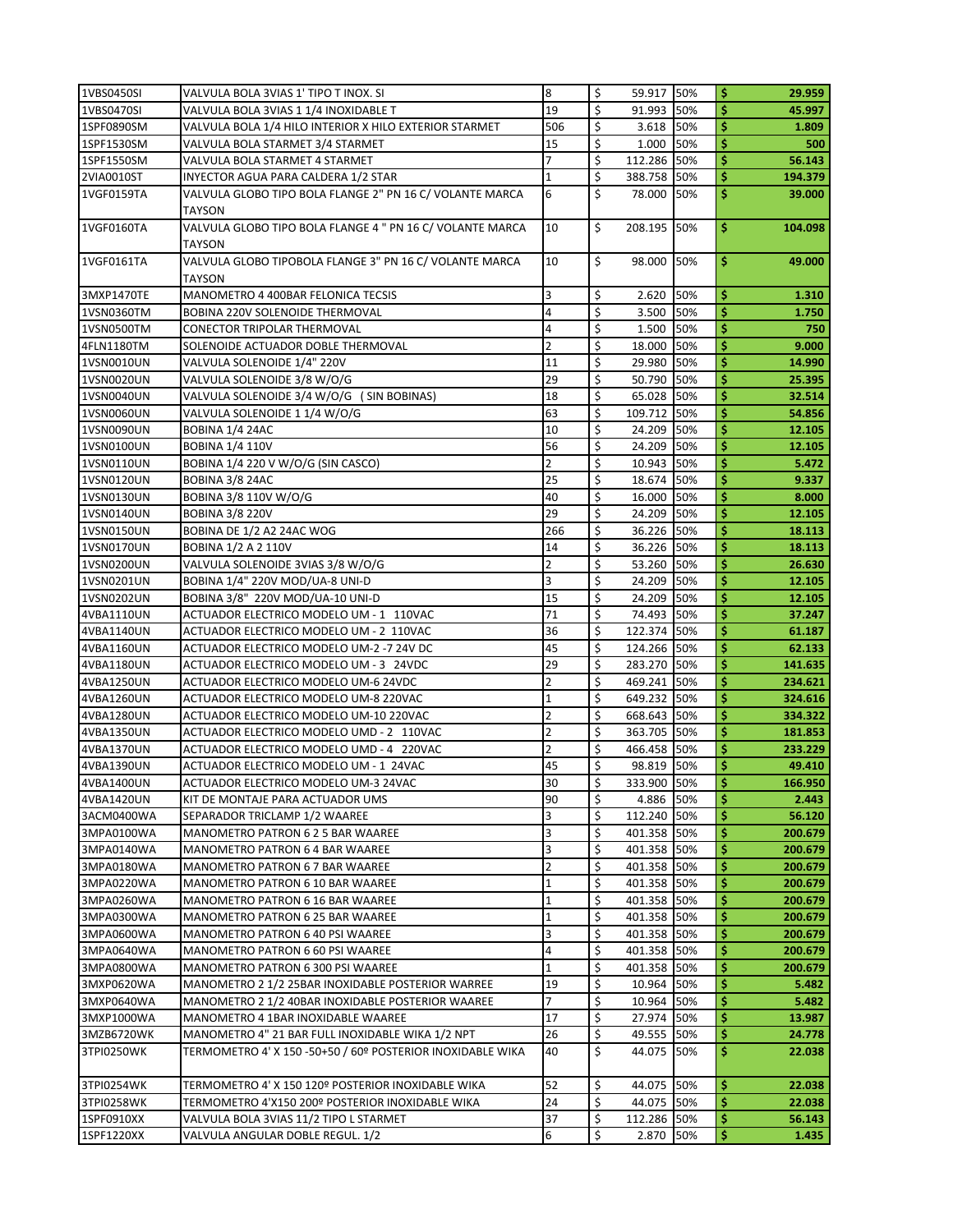| 1VBS0450SI               | VALVULA BOLA 3VIAS 1' TIPO T INOX. SI                                                                  | 8              | \$       | 59.917 50%               |            | \$       | 29.959           |
|--------------------------|--------------------------------------------------------------------------------------------------------|----------------|----------|--------------------------|------------|----------|------------------|
| 1VBS0470SI               | VALVULA BOLA 3VIAS 1 1/4 INOXIDABLE T                                                                  | 19             | \$       | 91.993 50%               |            | Ś        | 45.997           |
| 1SPF0890SM               | VALVULA BOLA 1/4 HILO INTERIOR X HILO EXTERIOR STARMET                                                 | 506            | \$       | 3.618                    | 50%        | \$       | 1.809            |
| 1SPF1530SM               | VALVULA BOLA STARMET 3/4 STARMET                                                                       | 15             | \$       | 1.000                    | 50%        | \$       | 500              |
| 1SPF1550SM               | VALVULA BOLA STARMET 4 STARMET                                                                         |                | \$       | 112.286                  | 50%        | \$       | 56.143           |
| 2VIA0010ST               | INYECTOR AGUA PARA CALDERA 1/2 STAR                                                                    | $\mathbf{1}$   | \$       | 388.758 50%              |            | \$       | 194.379          |
| 1VGF0159TA               | VALVULA GLOBO TIPO BOLA FLANGE 2" PN 16 C/ VOLANTE MARCA<br>TAYSON                                     | 6              | Ś        | 78.000 50%               |            | \$       | 39.000           |
| 1VGF0160TA               | VALVULA GLOBO TIPO BOLA FLANGE 4 " PN 16 C/ VOLANTE MARCA<br>TAYSON                                    | 10             | \$       | 208.195 50%              |            | \$       | 104.098          |
| 1VGF0161TA               | VALVULA GLOBO TIPOBOLA FLANGE 3" PN 16 C/ VOLANTE MARCA                                                | 10             | \$       | 98.000 50%               |            | \$       | 49.000           |
|                          | <b>TAYSON</b>                                                                                          |                |          |                          |            |          |                  |
| 3MXP1470TE               | MANOMETRO 4 400BAR FELONICA TECSIS                                                                     | 3              | \$       | 2.620                    | 50%        | \$       | 1.310            |
| 1VSN0360TM               | <b>BOBINA 220V SOLENOIDE THERMOVAL</b>                                                                 | 4              | \$       | 3.500                    | 50%        | \$       | 1.750            |
| 1VSN0500TM               | CONECTOR TRIPOLAR THERMOVAL                                                                            | 4              | \$       | 1.500                    | 50%        | \$       | 750              |
| 4FLN1180TM               | SOLENOIDE ACTUADOR DOBLE THERMOVAL                                                                     | 2              | \$       | 18.000                   | 50%        | \$       | 9.000            |
| 1VSN0010UN               | VALVULA SOLENOIDE 1/4" 220V                                                                            | 11             | \$       | 29.980                   | 50%        | \$       | 14.990           |
| 1VSN0020UN               | VALVULA SOLENOIDE 3/8 W/O/G                                                                            | 29             | \$       | 50.790                   | 50%        | \$       | 25.395           |
| 1VSN0040UN               | VALVULA SOLENOIDE 3/4 W/O/G (SIN BOBINAS)                                                              | 18             | \$       | 65.028 50%               |            | \$       | 32.514           |
| 1VSN0060UN               | VALVULA SOLENOIDE 1 1/4 W/O/G                                                                          | 63<br>10       | \$<br>\$ | 109.712 50%              |            | \$<br>\$ | 54.856           |
| 1VSN0090UN               | BOBINA 1/4 24AC                                                                                        | 56             | \$       | 24.209                   | 50%        | \$       | 12.105<br>12.105 |
| 1VSN0100UN<br>1VSN0110UN | <b>BOBINA 1/4 110V</b><br>BOBINA 1/4 220 V W/O/G (SIN CASCO)                                           | $\overline{2}$ | \$       | 24.209<br>10.943         | 50%<br>50% | \$       | 5.472            |
| 1VSN0120UN               | BOBINA 3/8 24AC                                                                                        | 25             | \$       | 18.674                   | 50%        | \$       | 9.337            |
| 1VSN0130UN               | BOBINA 3/8 110V W/O/G                                                                                  | 40             | \$       | 16.000 50%               |            | \$       | 8.000            |
| 1VSN0140UN               | <b>BOBINA 3/8 220V</b>                                                                                 | 29             | \$       | 24.209                   | 50%        | \$       | 12.105           |
| 1VSN0150UN               | BOBINA DE 1/2 A2 24AC WOG                                                                              | 266            | \$       | 36.226                   | 50%        | Ś        | 18.113           |
| 1VSN0170UN               | <b>BOBINA 1/2 A 2 110V</b>                                                                             | 14             | \$       | 36.226 50%               |            | \$       | 18.113           |
| 1VSN0200UN               | VALVULA SOLENOIDE 3VIAS 3/8 W/O/G                                                                      | 2              | \$       | 53.260 50%               |            | \$       | 26.630           |
| 1VSN0201UN               | BOBINA 1/4" 220V MOD/UA-8 UNI-D                                                                        | 3              | \$       | 24.209 50%               |            | \$       | 12.105           |
| 1VSN0202UN               | BOBINA 3/8" 220V MOD/UA-10 UNI-D                                                                       | 15             | \$       | 24.209                   | 50%        | \$       | 12.105           |
| 4VBA1110UN               | ACTUADOR ELECTRICO MODELO UM - 1 110VAC                                                                | 71             | \$       | 74.493                   | 50%        | \$       | 37.247           |
| 4VBA1140UN               | ACTUADOR ELECTRICO MODELO UM - 2 110VAC                                                                | 36             | \$       | 122.374 50%              |            | \$       | 61.187           |
| 4VBA1160UN               | ACTUADOR ELECTRICO MODELO UM-2 -7 24V DC                                                               | 45             | \$       | 124.266 50%              |            | \$       | 62.133           |
| 4VBA1180UN               | ACTUADOR ELECTRICO MODELO UM - 3 24VDC                                                                 | 29             | \$       | 283.270 50%              |            | \$       | 141.635          |
| 4VBA1250UN               | ACTUADOR ELECTRICO MODELO UM-6 24VDC                                                                   | 2              | \$       | 469.241 50%              |            | \$       | 234.621          |
| 4VBA1260UN               | ACTUADOR ELECTRICO MODELO UM-8 220VAC                                                                  | 1              | \$       | 649.232 50%              |            | \$       | 324.616          |
| 4VBA1280UN               | ACTUADOR ELECTRICO MODELO UM-10 220VAC                                                                 | $\overline{2}$ | \$       | 668.643 50%              |            | \$       | 334.322          |
| 4VBA1350UN               | ACTUADOR ELECTRICO MODELO UMD - 2 110VAC                                                               | 2              | \$       | 363.705 50%              |            | \$       | 181.853          |
| 4VBA1370UN               | ACTUADOR ELECTRICO MODELO UMD - 4 220VAC                                                               | $\overline{2}$ | \$       | 466.458 50%              |            | \$       | 233.229          |
| 4VBA1390UN               | ACTUADOR ELECTRICO MODELO UM - 1 24VAC                                                                 | 45             | \$       | 98.819 50%               |            | \$       | 49.410           |
| 4VBA1400UN               | ACTUADOR ELECTRICO MODELO UM-3 24VAC                                                                   | 30             | \$       | 333.900 50%              |            | \$       | 166.950          |
| 4VBA1420UN               | KIT DE MONTAJE PARA ACTUADOR UMS                                                                       | 90             | \$       | 4.886 50%                |            | \$       | 2.443            |
| 3ACM0400WA               | SEPARADOR TRICLAMP 1/2 WAAREE                                                                          | 3              | \$       | 112.240 50%              |            | \$       | 56.120           |
| 3MPA0100WA               | MANOMETRO PATRON 6 2 5 BAR WAAREE                                                                      | 3              | \$       | 401.358 50%              |            | \$       | 200.679          |
| 3MPA0140WA               | MANOMETRO PATRON 6 4 BAR WAAREE                                                                        | 3              | \$       | 401.358 50%              |            | \$       | 200.679          |
| 3MPA0180WA               | MANOMETRO PATRON 6 7 BAR WAAREE                                                                        | $\overline{2}$ | \$       | 401.358 50%              |            | \$       | 200.679          |
| 3MPA0220WA               | MANOMETRO PATRON 6 10 BAR WAAREE                                                                       | 1              | \$       | 401.358 50%              |            | \$       | 200.679          |
| 3MPA0260WA               | MANOMETRO PATRON 6 16 BAR WAAREE                                                                       | 1              | \$       | 401.358 50%              |            | \$       | 200.679          |
| 3MPA0300WA               | MANOMETRO PATRON 6 25 BAR WAAREE                                                                       | $\mathbf{1}$   | \$       | 401.358 50%              |            | \$       | 200.679          |
| 3MPA0600WA               | <b>MANOMETRO PATRON 6 40 PSI WAAREE</b>                                                                | 3              | \$       | 401.358 50%              |            | \$       | 200.679          |
| 3MPA0640WA               | MANOMETRO PATRON 6 60 PSI WAAREE                                                                       | 4              | \$       | 401.358 50%              |            | \$       | 200.679          |
| 3MPA0800WA               | MANOMETRO PATRON 6 300 PSI WAAREE                                                                      | 1<br>19        | \$       | 401.358 50%              |            | \$       | 200.679          |
| 3MXP0620WA<br>3MXP0640WA | MANOMETRO 2 1/2 25BAR INOXIDABLE POSTERIOR WARREE<br>MANOMETRO 2 1/2 40BAR INOXIDABLE POSTERIOR WAAREE | 7              | \$<br>\$ | 10.964 50%<br>10.964 50% |            | \$<br>\$ | 5.482<br>5.482   |
| 3MXP1000WA               | MANOMETRO 4 1BAR INOXIDABLE WAAREE                                                                     | 17             | \$       | 27.974 50%               |            | \$       | 13.987           |
| 3MZB6720WK               | MANOMETRO 4" 21 BAR FULL INOXIDABLE WIKA 1/2 NPT                                                       | 26             | \$       | 49.555 50%               |            | \$       | 24.778           |
| 3TPI0250WK               | TERMOMETRO 4' X 150 -50+50 / 60º POSTERIOR INOXIDABLE WIKA                                             | 40             | \$       | 44.075 50%               |            | \$       | 22.038           |
|                          |                                                                                                        |                |          |                          |            |          |                  |
| 3TPI0254WK               | TERMOMETRO 4' X 150 120º POSTERIOR INOXIDABLE WIKA                                                     | 52             | \$       | 44.075 50%               |            | \$       | 22.038           |
| 3TPI0258WK               | TERMOMETRO 4'X150 200º POSTERIOR INOXIDABLE WIKA                                                       | 24             | \$       | 44.075 50%               |            | \$       | 22.038           |
| 1SPF0910XX               | VALVULA BOLA 3VIAS 11/2 TIPO L STARMET                                                                 | 37             | \$       | 112.286 50%              |            | \$       | 56.143           |
| 1SPF1220XX               | VALVULA ANGULAR DOBLE REGUL. 1/2                                                                       | 6              | \$       | 2.870                    | 50%        | \$       | 1.435            |